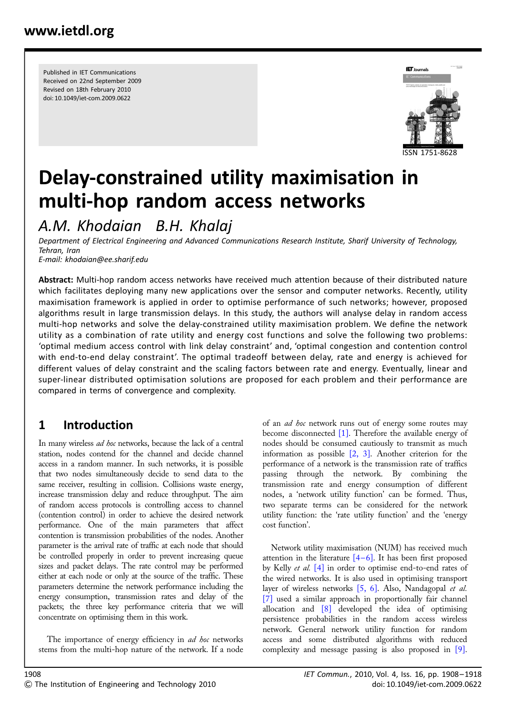Published in IET Communications Received on 22nd September 2009 Revised on 18th February 2010 doi: 10.1049/iet-com.2009.0622



# Delay-constrained utility maximisation in multi-hop random access networks

A.M. Khodaian B.H. Khalaj

Department of Electrical Engineering and Advanced Communications Research Institute, Sharif University of Technology, Tehran, Iran E-mail: khodaian@ee.sharif.edu

Abstract: Multi-hop random access networks have received much attention because of their distributed nature which facilitates deploying many new applications over the sensor and computer networks. Recently, utility maximisation framework is applied in order to optimise performance of such networks; however, proposed algorithms result in large transmission delays. In this study, the authors will analyse delay in random access multi-hop networks and solve the delay-constrained utility maximisation problem. We define the network utility as a combination of rate utility and energy cost functions and solve the following two problems: 'optimal medium access control with link delay constraint' and, 'optimal congestion and contention control with end-to-end delay constraint'. The optimal tradeoff between delay, rate and energy is achieved for different values of delay constraint and the scaling factors between rate and energy. Eventually, linear and super-linear distributed optimisation solutions are proposed for each problem and their performance are compared in terms of convergence and complexity.

# 1 Introduction

In many wireless ad hoc networks, because the lack of a central station, nodes contend for the channel and decide channel access in a random manner. In such networks, it is possible that two nodes simultaneously decide to send data to the same receiver, resulting in collision. Collisions waste energy, increase transmission delay and reduce throughput. The aim of random access protocols is controlling access to channel (contention control) in order to achieve the desired network performance. One of the main parameters that affect contention is transmission probabilities of the nodes. Another parameter is the arrival rate of traffic at each node that should be controlled properly in order to prevent increasing queue sizes and packet delays. The rate control may be performed either at each node or only at the source of the traffic. These parameters determine the network performance including the energy consumption, transmission rates and delay of the packets; the three key performance criteria that we will concentrate on optimising them in this work.

The importance of energy efficiency in *ad hoc* networks stems from the multi-hop nature of the network. If a node

of an *ad hoc* network runs out of energy some routes may become disconnected [1]. Therefore the available energy of nodes should be consumed cautiously to transmit as much information as possible [2, 3]. Another criterion for the performance of a network is the transmission rate of traffics passing through the network. By combining the transmission rate and energy consumption of different nodes, a 'network utility function' can be formed. Thus, two separate terms can be considered for the network utility function: the 'rate utility function' and the 'energy cost function'.

Network utility maximisation (NUM) has received much attention in the literature  $[4-6]$ . It has been first proposed by Kelly et al. [4] in order to optimise end-to-end rates of the wired networks. It is also used in optimising transport layer of wireless networks [5, 6]. Also, Nandagopal et al. [7] used a similar approach in proportionally fair channel allocation and [8] developed the idea of optimising persistence probabilities in the random access wireless network. General network utility function for random access and some distributed algorithms with reduced complexity and message passing is also proposed in [9].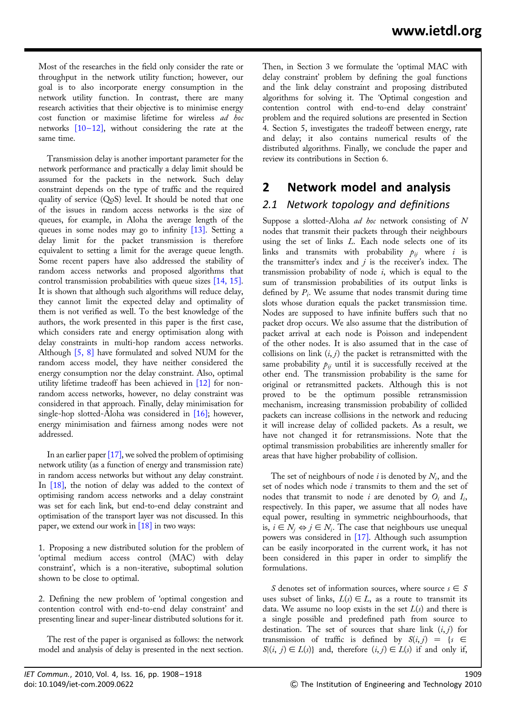Most of the researches in the field only consider the rate or throughput in the network utility function; however, our goal is to also incorporate energy consumption in the network utility function. In contrast, there are many research activities that their objective is to minimise energy cost function or maximise lifetime for wireless ad hoc networks  $[10-12]$ , without considering the rate at the same time.

Transmission delay is another important parameter for the network performance and practically a delay limit should be assumed for the packets in the network. Such delay constraint depends on the type of traffic and the required quality of service (QoS) level. It should be noted that one of the issues in random access networks is the size of queues, for example, in Aloha the average length of the queues in some nodes may go to infinity [13]. Setting a delay limit for the packet transmission is therefore equivalent to setting a limit for the average queue length. Some recent papers have also addressed the stability of random access networks and proposed algorithms that control transmission probabilities with queue sizes [14, 15]. It is shown that although such algorithms will reduce delay, they cannot limit the expected delay and optimality of them is not verified as well. To the best knowledge of the authors, the work presented in this paper is the first case, which considers rate and energy optimisation along with delay constraints in multi-hop random access networks. Although [5, 8] have formulated and solved NUM for the random access model, they have neither considered the energy consumption nor the delay constraint. Also, optimal utility lifetime tradeoff has been achieved in [12] for nonrandom access networks, however, no delay constraint was considered in that approach. Finally, delay minimisation for single-hop slotted-Aloha was considered in [16]; however, energy minimisation and fairness among nodes were not addressed.

In an earlier paper [17], we solved the problem of optimising network utility (as a function of energy and transmission rate) in random access networks but without any delay constraint. In [18], the notion of delay was added to the context of optimising random access networks and a delay constraint was set for each link, but end-to-end delay constraint and optimisation of the transport layer was not discussed. In this paper, we extend our work in [18] in two ways:

1. Proposing a new distributed solution for the problem of 'optimal medium access control (MAC) with delay constraint', which is a non-iterative, suboptimal solution shown to be close to optimal.

2. Defining the new problem of 'optimal congestion and contention control with end-to-end delay constraint' and presenting linear and super-linear distributed solutions for it.

The rest of the paper is organised as follows: the network model and analysis of delay is presented in the next section.

Then, in Section 3 we formulate the 'optimal MAC with delay constraint' problem by defining the goal functions and the link delay constraint and proposing distributed algorithms for solving it. The 'Optimal congestion and contention control with end-to-end delay constraint' problem and the required solutions are presented in Section 4. Section 5, investigates the tradeoff between energy, rate and delay; it also contains numerical results of the distributed algorithms. Finally, we conclude the paper and review its contributions in Section 6.

# 2 Network model and analysis

### 2.1 Network topology and definitions

Suppose a slotted-Aloha ad hoc network consisting of N nodes that transmit their packets through their neighbours using the set of links L. Each node selects one of its links and transmits with probability  $p_{ij}$  where i is the transmitter's index and  $j$  is the receiver's index. The transmission probability of node  $i$ , which is equal to the sum of transmission probabilities of its output links is defined by  $P_i$ . We assume that nodes transmit during time slots whose duration equals the packet transmission time. Nodes are supposed to have infinite buffers such that no packet drop occurs. We also assume that the distribution of packet arrival at each node is Poisson and independent of the other nodes. It is also assumed that in the case of collisions on link  $(i, j)$  the packet is retransmitted with the same probability  $p_{ij}$  until it is successfully received at the other end. The transmission probability is the same for original or retransmitted packets. Although this is not proved to be the optimum possible retransmission mechanism, increasing transmission probability of collided packets can increase collisions in the network and reducing it will increase delay of collided packets. As a result, we have not changed it for retransmissions. Note that the optimal transmission probabilities are inherently smaller for areas that have higher probability of collision.

The set of neighbours of node i is denoted by  $N_i$ , and the set of nodes which node *i* transmits to them and the set of nodes that transmit to node i are denoted by  $O_i$  and  $I_i$ , respectively. In this paper, we assume that all nodes have equal power, resulting in symmetric neighbourhoods, that is,  $i \in N_i \Leftrightarrow j \in N_i$ . The case that neighbours use unequal powers was considered in [17]. Although such assumption can be easily incorporated in the current work, it has not been considered in this paper in order to simplify the formulations.

S denotes set of information sources, where source  $s \in S$ uses subset of links,  $L(s) \in L$ , as a route to transmit its data. We assume no loop exists in the set  $L(s)$  and there is a single possible and predefined path from source to destination. The set of sources that share link  $(i, j)$  for transmission of traffic is defined by  $S(i, j) = \{s \in$  $S|(i, j) \in L(s)$  and, therefore  $(i, j) \in L(s)$  if and only if,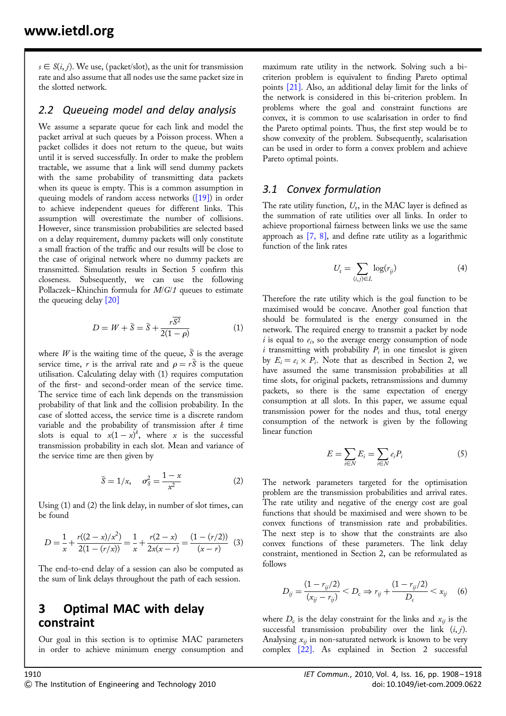$s \in S(i, j)$ . We use, (packet/slot), as the unit for transmission rate and also assume that all nodes use the same packet size in the slotted network.

#### 2.2 Queueing model and delay analysis

We assume a separate queue for each link and model the packet arrival at such queues by a Poisson process. When a packet collides it does not return to the queue, but waits until it is served successfully. In order to make the problem tractable, we assume that a link will send dummy packets with the same probability of transmitting data packets when its queue is empty. This is a common assumption in queuing models of random access networks  $([19])$  in order to achieve independent queues for different links. This assumption will overestimate the number of collisions. However, since transmission probabilities are selected based on a delay requirement, dummy packets will only constitute a small fraction of the traffic and our results will be close to the case of original network where no dummy packets are transmitted. Simulation results in Section 5 confirm this closeness. Subsequently, we can use the following Pollaczek–Khinchin formula for M/G/1 queues to estimate the queueing delay [20]

$$
D = W + \bar{S} = \bar{S} + \frac{r\overline{S^2}}{2(1-\rho)}
$$
(1)

where W is the waiting time of the queue,  $\bar{S}$  is the average service time, r is the arrival rate and  $\rho = r\bar{S}$  is the queue utilisation. Calculating delay with (1) requires computation of the first- and second-order mean of the service time. The service time of each link depends on the transmission probability of that link and the collision probability. In the case of slotted access, the service time is a discrete random variable and the probability of transmission after  $k$  time slots is equal to  $x(1-x)^k$ , where x is the successful transmission probability in each slot. Mean and variance of the service time are then given by

$$
\bar{S} = 1/x, \quad \sigma_S^2 = \frac{1-x}{x^2}
$$
 (2)

Using (1) and (2) the link delay, in number of slot times, can be found

$$
D = \frac{1}{x} + \frac{r((2-x)/x^2)}{2(1 - (r/x))} = \frac{1}{x} + \frac{r(2-x)}{2x(x-r)} = \frac{(1 - (r/2))}{(x-r)}
$$
(3)

The end-to-end delay of a session can also be computed as the sum of link delays throughout the path of each session.

# 3 Optimal MAC with delay constraint

Our goal in this section is to optimise MAC parameters in order to achieve minimum energy consumption and maximum rate utility in the network. Solving such a bicriterion problem is equivalent to finding Pareto optimal points [21]. Also, an additional delay limit for the links of the network is considered in this bi-criterion problem. In problems where the goal and constraint functions are convex, it is common to use scalarisation in order to find the Pareto optimal points. Thus, the first step would be to show convexity of the problem. Subsequently, scalarisation can be used in order to form a convex problem and achieve Pareto optimal points.

#### 3.1 Convex formulation

The rate utility function,  $U_r$ , in the MAC layer is defined as the summation of rate utilities over all links. In order to achieve proportional fairness between links we use the same approach as  $[7, 8]$ , and define rate utility as a logarithmic function of the link rates

$$
U_{\mathbf{r}} = \sum_{(i,j)\in L} \log(r_{ij})
$$
 (4)

Therefore the rate utility which is the goal function to be maximised would be concave. Another goal function that should be formulated is the energy consumed in the network. The required energy to transmit a packet by node i is equal to  $e_i$ , so the average energy consumption of node i transmitting with probability  $P_i$  in one timeslot is given by  $E_i = e_i \times P_i$ . Note that as described in Section 2, we have assumed the same transmission probabilities at all time slots, for original packets, retransmissions and dummy packets, so there is the same expectation of energy consumption at all slots. In this paper, we assume equal transmission power for the nodes and thus, total energy consumption of the network is given by the following linear function

$$
E = \sum_{i \in N} E_i = \sum_{i \in N} e_i P_i \tag{5}
$$

The network parameters targeted for the optimisation problem are the transmission probabilities and arrival rates. The rate utility and negative of the energy cost are goal functions that should be maximised and were shown to be convex functions of transmission rate and probabilities. The next step is to show that the constraints are also convex functions of these parameters. The link delay constraint, mentioned in Section 2, can be reformulated as follows

$$
D_{ij} = \frac{(1 - r_{ij}/2)}{(x_{ij} - r_{ij})} < D_{\rm c} \Rightarrow r_{ij} + \frac{(1 - r_{ij}/2)}{D_{\rm c}} < x_{ij} \tag{6}
$$

where  $D_c$  is the delay constraint for the links and  $x_{ii}$  is the successful transmission probability over the link  $(i, j)$ . Analysing  $x_{ij}$  in non-saturated network is known to be very complex [22]. As explained in Section 2 successful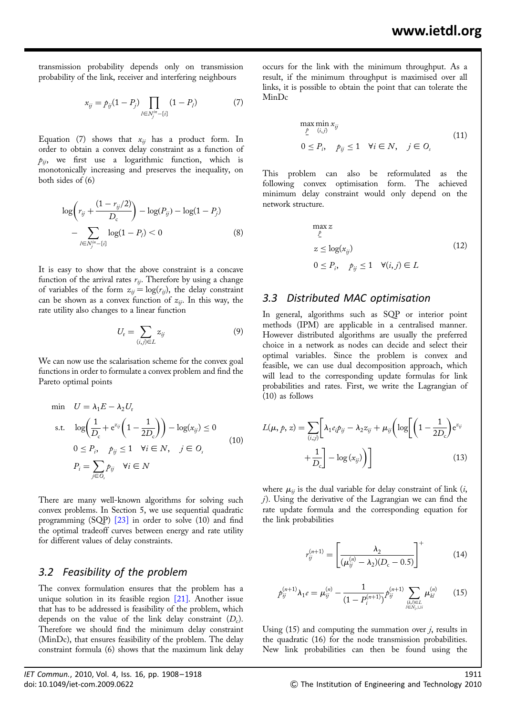transmission probability depends only on transmission probability of the link, receiver and interfering neighbours

$$
x_{ij} = p_{ij}(1 - P_j) \prod_{l \in N_j^{in} - \{i\}} (1 - P_l)
$$
 (7)

Equation (7) shows that  $x_{ij}$  has a product form. In order to obtain a convex delay constraint as a function of  $p_{ij}$ , we first use a logarithmic function, which is monotonically increasing and preserves the inequality, on both sides of (6)

$$
\log \left( r_{ij} + \frac{(1 - r_{ij}/2)}{D_c} \right) - \log(P_{ij}) - \log(1 - P_j) - \sum_{l \in N_j^{in} - \{i\}} \log(1 - P_l) < 0 \tag{8}
$$

It is easy to show that the above constraint is a concave function of the arrival rates  $r_{ij}$ . Therefore by using a change of variables of the form  $z_{ij} = \log(r_{ij})$ , the delay constraint can be shown as a convex function of  $z_{ij}$ . In this way, the rate utility also changes to a linear function

$$
U_{\rm r} = \sum_{(i,j)\in L} z_{ij} \tag{9}
$$

We can now use the scalarisation scheme for the convex goal functions in order to formulate a convex problem and find the Pareto optimal points

$$
\begin{aligned}\n\min \quad & U = \lambda_1 E - \lambda_2 U_r \\
\text{s.t.} \quad & \log \left( \frac{1}{D_c} + e^{z_{ij}} \left( 1 - \frac{1}{2D_c} \right) \right) - \log(x_{ij}) \le 0 \\
& 0 \le P_i, \quad p_{ij} \le 1 \quad \forall i \in N, \quad j \in O_s \\
& P_i = \sum_{j \in O_i} p_{ij} \quad \forall i \in N\n\end{aligned} \tag{10}
$$

There are many well-known algorithms for solving such convex problems. In Section 5, we use sequential quadratic programming (SQP) [23] in order to solve (10) and find the optimal tradeoff curves between energy and rate utility for different values of delay constraints.

#### 3.2 Feasibility of the problem

The convex formulation ensures that the problem has a unique solution in its feasible region  $[21]$ . Another issue that has to be addressed is feasibility of the problem, which depends on the value of the link delay constraint  $(D<sub>c</sub>)$ . Therefore we should find the minimum delay constraint (MinDc), that ensures feasibility of the problem. The delay constraint formula (6) shows that the maximum link delay

occurs for the link with the minimum throughput. As a result, if the minimum throughput is maximised over all links, it is possible to obtain the point that can tolerate the MinDc

$$
\max_{\underline{\ell}} \min_{(i,j)} x_{ij}
$$
\n
$$
0 \le P_i, \quad p_{ij} \le 1 \quad \forall i \in N, \quad j \in O_s
$$
\n
$$
(11)
$$

This problem can also be reformulated as the following convex optimisation form. The achieved minimum delay constraint would only depend on the network structure.

$$
\max_{\ell} z
$$
  
\n
$$
z \le \log(x_{ij})
$$
  
\n
$$
0 \le P_i, \quad p_{ij} \le 1 \quad \forall (i, j) \in L
$$
\n(12)

#### 3.3 Distributed MAC optimisation

In general, algorithms such as SQP or interior point methods (IPM) are applicable in a centralised manner. However distributed algorithms are usually the preferred choice in a network as nodes can decide and select their optimal variables. Since the problem is convex and feasible, we can use dual decomposition approach, which will lead to the corresponding update formulas for link probabilities and rates. First, we write the Lagrangian of (10) as follows

$$
L(\mu, p, z) = \sum_{(i,j)} \left[ \lambda_1 e_i p_{ij} - \lambda_2 z_{ij} + \mu_{ij} \left( \log \left[ \left( 1 - \frac{1}{2D_c} \right) e^{z_{ij}} + \frac{1}{D_c} \right] - \log (x_{ij}) \right) \right]
$$
(13)

where  $\mu_{ii}$  is the dual variable for delay constraint of link (*i*,  $j$ ). Using the derivative of the Lagrangian we can find the rate update formula and the corresponding equation for the link probabilities

$$
r_{ij}^{(n+1)} = \left[\frac{\lambda_2}{(\mu_{ij}^{(n)} - \lambda_2)(D_{\rm c} - 0.5)}\right]^+(14)
$$

$$
p_{ij}^{(n+1)} \lambda_1 e = \mu_{ij}^{(n)} - \frac{1}{(1 - P_i^{(n+1)})} p_{ij}^{(n+1)} \sum_{\substack{(k,l) \in L \\ l \in N_i, \cup i}} \mu_{kl}^{(n)} \qquad (15)
$$

Using  $(15)$  and computing the summation over *i*, results in the quadratic (16) for the node transmission probabilities. New link probabilities can then be found using the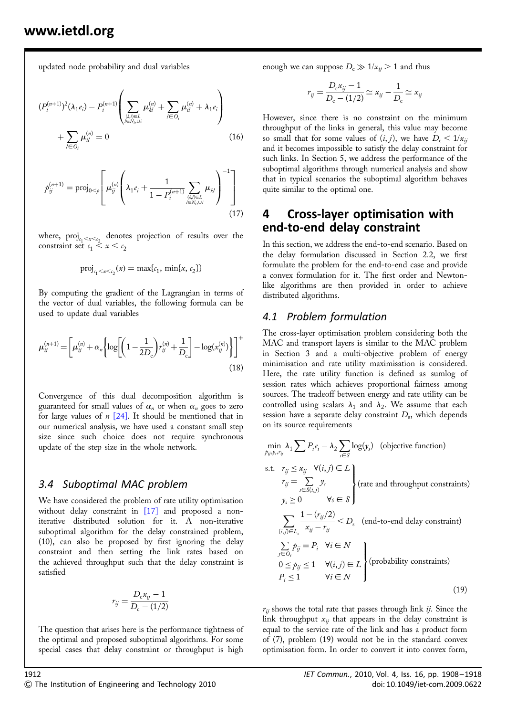updated node probability and dual variables

$$
(P_i^{(n+1)})^2 (\lambda_1 e_i) - P_i^{(n+1)} \left( \sum_{\substack{(k,l) \in \mathcal{L} \\ l \in \mathcal{N}_l, \cup i}} \mu_{kl}^{(n)} + \sum_{l \in O_i} \mu_{il}^{(n)} + \lambda_1 e_i \right) + \sum_{l \in O_i} \mu_{il}^{(n)} = 0
$$
\n(16)

$$
p_{ij}^{(n+1)} = \text{proj}_{0 < p} \left[ \mu_{ij}^{(n)} \left( \lambda_1 e_i + \frac{1}{1 - P_i^{(n+1)}} \sum_{\substack{(k,l) \in L \\ l \in N_l, \cup l}} \mu_{kl} \right)^{-1} \right] \tag{17}
$$

where,  $\text{proj}_{c_1<\kappa< c_2}$  denotes projection of results over the constraint set  $c_1 < x < c_2$ 

$$
\text{proj}_{c_1 < x < c_2}(x) = \max\{c_1, \, \min\{x, \, c_2\}\}
$$

By computing the gradient of the Lagrangian in terms of the vector of dual variables, the following formula can be used to update dual variables

$$
\mu_{ij}^{(n+1)} = \left[ \mu_{ij}^{(n)} + \alpha_n \left\{ \log \left[ \left( 1 - \frac{1}{2D_c} \right) r_{ij}^{(n)} + \frac{1}{D_c} \right] - \log(x_{ij}^{(n)}) \right\} \right]^+ \tag{18}
$$

Convergence of this dual decomposition algorithm is guaranteed for small values of  $\alpha_n$  or when  $\alpha_n$  goes to zero for large values of  $n \times 24$ . It should be mentioned that in our numerical analysis, we have used a constant small step size since such choice does not require synchronous update of the step size in the whole network.

#### 3.4 Suboptimal MAC problem

We have considered the problem of rate utility optimisation without delay constraint in [17] and proposed a noniterative distributed solution for it. A non-iterative suboptimal algorithm for the delay constrained problem, (10), can also be proposed by first ignoring the delay constraint and then setting the link rates based on the achieved throughput such that the delay constraint is satisfied

$$
r_{ij} = \frac{D_{\rm c}x_{ij} - 1}{D_{\rm c} - (1/2)}
$$

The question that arises here is the performance tightness of the optimal and proposed suboptimal algorithms. For some special cases that delay constraint or throughput is high

enough we can suppose  $D_c \gg 1/x_{ii} > 1$  and thus

$$
r_{ij} = \frac{D_{\rm c}x_{ij} - 1}{D_{\rm c} - (1/2)} \simeq x_{ij} - \frac{1}{D_{\rm c}} \simeq x_{ij}
$$

However, since there is no constraint on the minimum throughput of the links in general, this value may become so small that for some values of  $(i, j)$ , we have  $D_c < 1/x_{ij}$ and it becomes impossible to satisfy the delay constraint for such links. In Section 5, we address the performance of the suboptimal algorithms through numerical analysis and show that in typical scenarios the suboptimal algorithm behaves quite similar to the optimal one.

## 4 Cross-layer optimisation with end-to-end delay constraint

In this section, we address the end-to-end scenario. Based on the delay formulation discussed in Section 2.2, we first formulate the problem for the end-to-end case and provide a convex formulation for it. The first order and Newtonlike algorithms are then provided in order to achieve distributed algorithms.

#### 4.1 Problem formulation

The cross-layer optimisation problem considering both the MAC and transport layers is similar to the MAC problem in Section 3 and a multi-objective problem of energy minimisation and rate utility maximisation is considered. Here, the rate utility function is defined as sumlog of session rates which achieves proportional fairness among sources. The tradeoff between energy and rate utility can be controlled using scalars  $\lambda_1$  and  $\lambda_2$ . We assume that each session have a separate delay constraint  $D_s$ , which depends on its source requirements

$$
\min_{p_{ij}, y_j, r_{ij}} \lambda_1 \sum P_i e_i - \lambda_2 \sum_{s \in S} \log(y_s) \quad \text{(objective function)}
$$
\ns.t.  $r_{ij} \le x_{ij} \quad \forall (i, j) \in L$ \n
$$
r_{ij} = \sum_{s \in S(i,j)} y_s
$$
\n
$$
y_s \ge 0 \qquad \forall s \in S
$$
\n
$$
\sum_{(i,j) \in L_s} \frac{1 - (r_{ij}/2)}{x_{ij} - r_{ij}} < D_s \quad \text{(end-to-end delay constraint)}
$$
\n
$$
\sum_{j \in O_i} p_{ij} = P_i \quad \forall i \in N
$$
\n
$$
0 \le p_{ij} \le 1 \quad \forall (i,j) \in L
$$
\n
$$
\forall i \in N
$$
\n
$$
P_i \le 1 \qquad \forall i \in N
$$
\n(19)

 $r_{ii}$  shows the total rate that passes through link  $ij$ . Since the link throughput  $x_{ij}$  that appears in the delay constraint is equal to the service rate of the link and has a product form of (7), problem (19) would not be in the standard convex optimisation form. In order to convert it into convex form,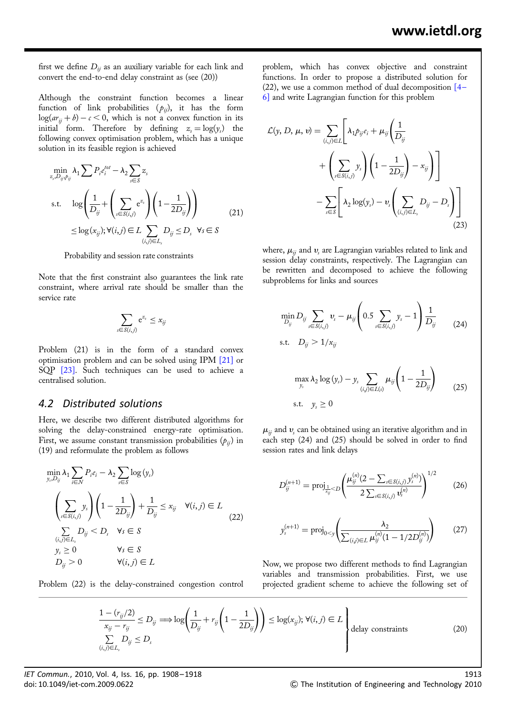first we define  $D_{ij}$  as an auxiliary variable for each link and convert the end-to-end delay constraint as (see (20))

Although the constraint function becomes a linear function of link probabilities  $(p_{ij})$ , it has the form  $log(ar_{ii} + b) - c < 0$ , which is not a convex function in its initial form. Therefore by defining  $z_s = \log(y_s)$  the following convex optimisation problem, which has a unique solution in its feasible region is achieved

$$
\min_{z_s, D_{ij}, p_{ij}} \lambda_1 \sum P_i e_i^{tot} - \lambda_2 \sum_{s \in S} z_s
$$
\n
$$
\text{s.t.} \quad \log \left( \frac{1}{D_{ij}} + \left( \sum_{s \in S(i,j)} e^{z_s} \right) \left( 1 - \frac{1}{2D_{ij}} \right) \right)
$$
\n
$$
\leq \log(x_{ij}); \forall (i,j) \in L \sum_{(i,j) \in L_s} D_{ij} \leq D_s \quad \forall s \in S
$$
\n(21)

Probability and session rate constraints

Note that the first constraint also guarantees the link rate constraint, where arrival rate should be smaller than the service rate

$$
\sum_{s \in S(i,j)} e^{z_s} \leq x_{ij}
$$

Problem (21) is in the form of a standard convex optimisation problem and can be solved using IPM [21] or SQP [23]. Such techniques can be used to achieve a centralised solution.

#### 4.2 Distributed solutions

Here, we describe two different distributed algorithms for solving the delay-constrained energy-rate optimisation. First, we assume constant transmission probabilities  $(p_{ii})$  in (19) and reformulate the problem as follows

$$
\min_{y_i, D_{ij}} \lambda_1 \sum_{i \in N} P_i e_i - \lambda_2 \sum_{s \in S} \log(y_s)
$$
\n
$$
\left(\sum_{s \in S(i,j)} y_s\right) \left(1 - \frac{1}{2D_{ij}}\right) + \frac{1}{D_{ij}} \le x_{ij} \quad \forall (i,j) \in L
$$
\n
$$
\sum_{\substack{(i,j) \in L_i \\ y_s \ge 0}} D_{ij} < D_s \quad \forall s \in S
$$
\n
$$
y_s \ge 0 \qquad \forall s \in S
$$
\n
$$
D_{ij} > 0 \qquad \forall (i,j) \in L
$$
\n(22)

Problem (22) is the delay-constrained congestion control

problem, which has convex objective and constraint functions. In order to propose a distributed solution for (22), we use a common method of dual decomposition  $[4-$ 6] and write Lagrangian function for this problem

$$
\mathcal{L}(y, D, \mu, v) = \sum_{(i,j)\in L} \left[ \lambda_1 p_{ij} e_i + \mu_{ij} \left( \frac{1}{D_{ij}} \right) + \left( \sum_{s \in S(i,j)} y_s \right) \left( 1 - \frac{1}{2D_{ij}} \right) - x_{ij} \right) \right]
$$

$$
- \sum_{s \in S} \left[ \lambda_2 \log(y_s) - v_s \left( \sum_{(i,j)\in L_s} D_{ij} - D_s \right) \right]
$$
(23)

where,  $\mu_{ii}$  and  $\nu_{s}$  are Lagrangian variables related to link and session delay constraints, respectively. The Lagrangian can be rewritten and decomposed to achieve the following subproblems for links and sources

$$
\min_{D_{ij}} D_{ij} \sum_{s \in S(i,j)} \nu_s - \mu_{ij} \left( 0.5 \sum_{s \in S(i,j)} y_s - 1 \right) \frac{1}{D_{ij}} \qquad (24)
$$
\n
$$
\text{s.t.} \quad D_{ij} > 1/x_{ij}
$$

$$
\max_{y_s} \lambda_2 \log(y_s) - y_s \sum_{(i,j)\in L(s)} \mu_{ij} \left( 1 - \frac{1}{2D_{ij}} \right)
$$
\ns.t.

\n
$$
y_s \geq 0
$$
\n(25)

 $\mu_{ii}$  and  $v_s$  can be obtained using an iterative algorithm and in each step (24) and (25) should be solved in order to find session rates and link delays

$$
D_{ij}^{(n+1)} = \text{proj}_{\frac{1}{x_{ij}} < D} \left( \frac{\mu_{ij}^{(n)} (2 - \sum_{s \in S(i,j)} y_s^{(n)})}{2 \sum_{s \in S(i,j)} \mathbf{v}_s^{(n)}} \right)^{1/2} \tag{26}
$$

$$
y_s^{(n+1)} = \text{proj}_{0 < y} \left( \frac{\lambda_2}{\sum_{(i,j) \in L} \mu_{ij}^{(n)} (1 - 1/2D_{ij}^{(n)})} \right) \tag{27}
$$

Now, we propose two different methods to find Lagrangian variables and transmission probabilities. First, we use projected gradient scheme to achieve the following set of

$$
\frac{1 - (r_{ij}/2)}{x_{ij} - r_{ij}} \le D_{ij} \Longrightarrow \log \left(\frac{1}{D_{ij}} + r_{ij} \left(1 - \frac{1}{2D_{ij}}\right)\right) \le \log(x_{ij}); \forall (i, j) \in L \left\{\text{delay constraints}\right\}
$$
\n
$$
\sum_{(i,j) \in L_s} D_{ij} \le D_s \tag{20}
$$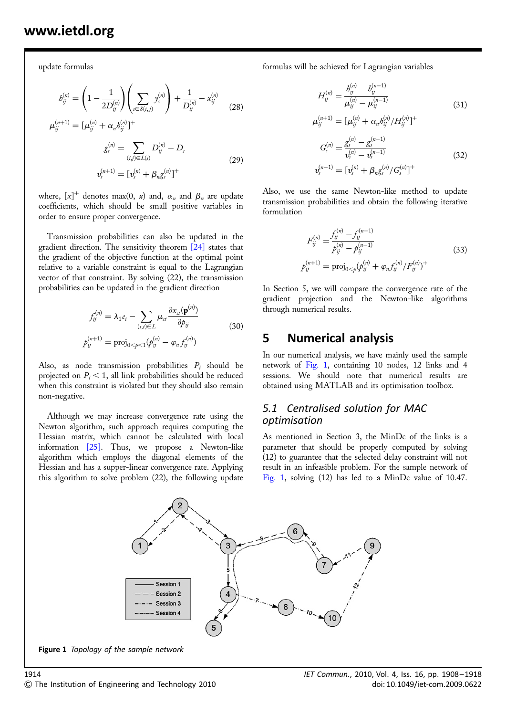update formulas

$$
b_{ij}^{(n)} = \left(1 - \frac{1}{2D_{ij}^{(n)}}\right) \left(\sum_{s \in S(i,j)} y_s^{(n)}\right) + \frac{1}{D_{ij}^{(n)}} - x_{ij}^{(n)}
$$
  

$$
\mu_{ij}^{(n+1)} = [\mu_{ij}^{(n)} + \alpha_n b_{ij}^{(n)}]^+
$$
 (28)

$$
g_s^{(n)} = \sum_{(i,j)\in L(s)} D_{ij}^{(n)} - D_s
$$
  

$$
v_s^{(n+1)} = [v_s^{(n)} + \beta_n g_s^{(n)}]^+
$$
 (29)

where,  $[x]^+$  denotes max(0, x) and,  $\alpha_n$  and  $\beta_n$  are update coefficients, which should be small positive variables in order to ensure proper convergence.

Transmission probabilities can also be updated in the gradient direction. The sensitivity theorem [24] states that the gradient of the objective function at the optimal point relative to a variable constraint is equal to the Lagrangian vector of that constraint. By solving (22), the transmission probabilities can be updated in the gradient direction

$$
f_{ij}^{(n)} = \lambda_1 e_i - \sum_{(s,t)\in L} \mu_{st} \frac{\partial x_{st}(\mathbf{p}^{(n)})}{\partial p_{ij}}
$$
  

$$
p_{ij}^{(n+1)} = \text{proj}_{0\leq p\leq 1} (p_{ij}^{(n)} - \varphi_n f_{ij}^{(n)})
$$
 (30)

Also, as node transmission probabilities  $P_i$  should be projected on  $P_i \leq 1$ , all link probabilities should be reduced when this constraint is violated but they should also remain non-negative.

Although we may increase convergence rate using the Newton algorithm, such approach requires computing the Hessian matrix, which cannot be calculated with local information  $[25]$ . Thus, we propose a Newton-like algorithm which employs the diagonal elements of the Hessian and has a supper-linear convergence rate. Applying this algorithm to solve problem (22), the following update

formulas will be achieved for Lagrangian variables

$$
H_{ij}^{(n)} = \frac{b_{ij}^{(n)} - b_{ij}^{(n-1)}}{\mu_{ij}^{(n)} - \mu_{ij}^{(n-1)}}
$$
(31)  

$$
\mu_{ij}^{(n+1)} = [\mu_{ij}^{(n)} + \alpha_n b_{ij}^{(n)}/H_{ij}^{(n)}]^{+}
$$
  

$$
G_s^{(n)} = \frac{g_s^{(n)} - g_s^{(n-1)}}{v_s^{(n)} - v_s^{(n-1)}}
$$
(32)  

$$
v_s^{(n-1)} = [v_s^{(n)} + \beta_n g_s^{(n)}/G_s^{(n)}]^{+}
$$

Also, we use the same Newton-like method to update transmission probabilities and obtain the following iterative formulation

$$
F_{ij}^{(n)} = \frac{f_{ij}^{(n)} - f_{ij}^{(n-1)}}{p_{ij}^{(n)} - p_{ij}^{(n-1)}}
$$
  
\n
$$
\phi_{ij}^{(n+1)} = \text{proj}_{0 \le p} (\phi_{ij}^{(n)} + \varphi_n f_{ij}^{(n)} / F_{ij}^{(n)})^+
$$
\n(33)

In Section 5, we will compare the convergence rate of the gradient projection and the Newton-like algorithms through numerical results.

### 5 Numerical analysis

i

In our numerical analysis, we have mainly used the sample network of Fig. 1, containing 10 nodes, 12 links and 4 sessions. We should note that numerical results are obtained using MATLAB and its optimisation toolbox.

### 5.1 Centralised solution for MAC optimisation

As mentioned in Section 3, the MinDc of the links is a parameter that should be properly computed by solving (12) to guarantee that the selected delay constraint will not result in an infeasible problem. For the sample network of Fig. 1, solving (12) has led to a MinDc value of 10.47.



Figure 1 Topology of the sample network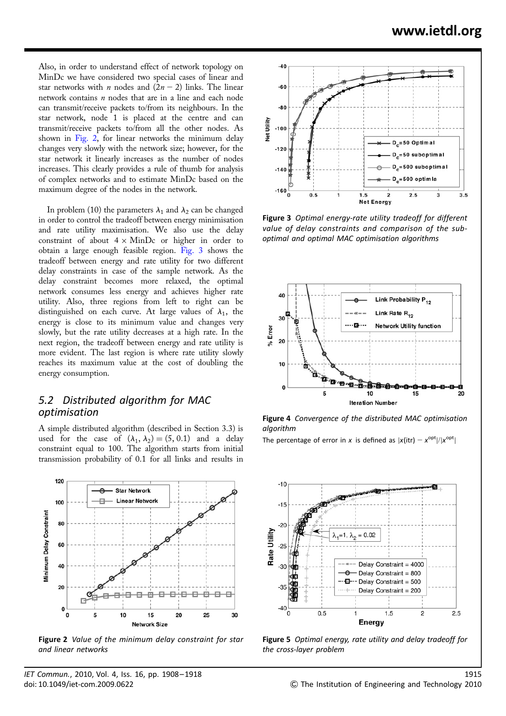Also, in order to understand effect of network topology on MinDc we have considered two special cases of linear and star networks with *n* nodes and  $(2n - 2)$  links. The linear network contains  $n$  nodes that are in a line and each node can transmit/receive packets to/from its neighbours. In the star network, node 1 is placed at the centre and can transmit/receive packets to/from all the other nodes. As shown in Fig. 2, for linear networks the minimum delay changes very slowly with the network size; however, for the star network it linearly increases as the number of nodes increases. This clearly provides a rule of thumb for analysis of complex networks and to estimate MinDc based on the maximum degree of the nodes in the network.

In problem (10) the parameters  $\lambda_1$  and  $\lambda_2$  can be changed in order to control the tradeoff between energy minimisation and rate utility maximisation. We also use the delay constraint of about  $4 \times$  MinDc or higher in order to obtain a large enough feasible region. Fig. 3 shows the tradeoff between energy and rate utility for two different delay constraints in case of the sample network. As the delay constraint becomes more relaxed, the optimal network consumes less energy and achieves higher rate utility. Also, three regions from left to right can be distinguished on each curve. At large values of  $\lambda_1$ , the energy is close to its minimum value and changes very slowly, but the rate utility decreases at a high rate. In the next region, the tradeoff between energy and rate utility is more evident. The last region is where rate utility slowly reaches its maximum value at the cost of doubling the energy consumption.

### 5.2 Distributed algorithm for MAC optimisation

A simple distributed algorithm (described in Section 3.3) is used for the case of  $(\lambda_1, \lambda_2) = (5, 0.1)$  and a delay constraint equal to 100. The algorithm starts from initial transmission probability of 0.1 for all links and results in



Figure 2 Value of the minimum delay constraint for star and linear networks



Figure 3 Optimal energy-rate utility tradeoff for different value of delay constraints and comparison of the suboptimal and optimal MAC optimisation algorithms



Figure 4 Convergence of the distributed MAC optimisation algorithm

The percentage of error in x is defined as  $|x(int) - x^{\text{opt}}|/|x^{\text{opt}}|$ 



Figure 5 Optimal energy, rate utility and delay tradeoff for the cross-layer problem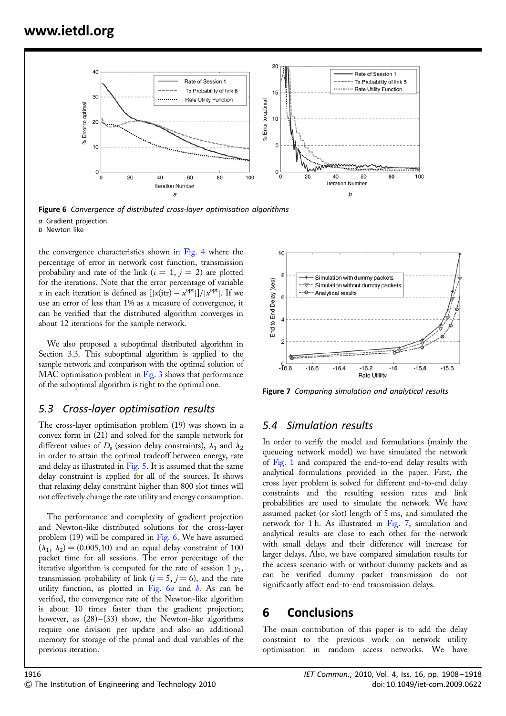

Figure 6 Convergence of distributed cross-layer optimisation algorithms a Gradient projection b Newton like

the convergence characteristics shown in Fig. 4 where the percentage of error in network cost function, transmission probability and rate of the link ( $i = 1, j = 2$ ) are plotted for the iterations. Note that the error percentage of variable x in each iteration is defined as  $[|x(\text{itr}) - x^{\text{opt}}|]/|x^{\text{opt}}|$ . If we use an error of less than 1% as a measure of convergence, it can be verified that the distributed algorithm converges in about 12 iterations for the sample network.

We also proposed a suboptimal distributed algorithm in Section 3.3. This suboptimal algorithm is applied to the sample network and comparison with the optimal solution of MAC optimisation problem in Fig. 3 shows that performance of the suboptimal algorithm is tight to the optimal one.

### 5.3 Cross-layer optimisation results

The cross-layer optimisation problem (19) was shown in a convex form in (21) and solved for the sample network for different values of  $D<sub>s</sub>$  (session delay constraints),  $\lambda_1$  and  $\lambda_2$ in order to attain the optimal tradeoff between energy, rate and delay as illustrated in Fig. 5. It is assumed that the same delay constraint is applied for all of the sources. It shows that relaxing delay constraint higher than 800 slot times will not effectively change the rate utility and energy consumption.

The performance and complexity of gradient projection and Newton-like distributed solutions for the cross-layer problem (19) will be compared in Fig. 6. We have assumed  $(\lambda_1, \lambda_2)$  = (0.005,10) and an equal delay constraint of 100 packet time for all sessions. The error percentage of the iterative algorithm is computed for the rate of session 1  $v_1$ , transmission probability of link ( $i = 5$ ,  $j = 6$ ), and the rate utility function, as plotted in Fig.  $6a$  and  $b$ . As can be verified, the convergence rate of the Newton-like algorithm is about 10 times faster than the gradient projection; however, as  $(28)$ – $(33)$  show, the Newton-like algorithms require one division per update and also an additional memory for storage of the primal and dual variables of the previous iteration.



Figure 7 Comparing simulation and analytical results

### 5.4 Simulation results

In order to verify the model and formulations (mainly the queueing network model) we have simulated the network of Fig. 1 and compared the end-to-end delay results with analytical formulations provided in the paper. First, the cross layer problem is solved for different end-to-end delay constraints and the resulting session rates and link probabilities are used to simulate the network. We have assumed packet (or slot) length of 5 ms, and simulated the network for 1 h. As illustrated in Fig. 7, simulation and analytical results are close to each other for the network with small delays and their difference will increase for larger delays. Also, we have compared simulation results for the access scenario with or without dummy packets and as can be verified dummy packet transmission do not significantly affect end-to-end transmission delays.

# 6 Conclusions

The main contribution of this paper is to add the delay constraint to the previous work on network utility optimisation in random access networks. We have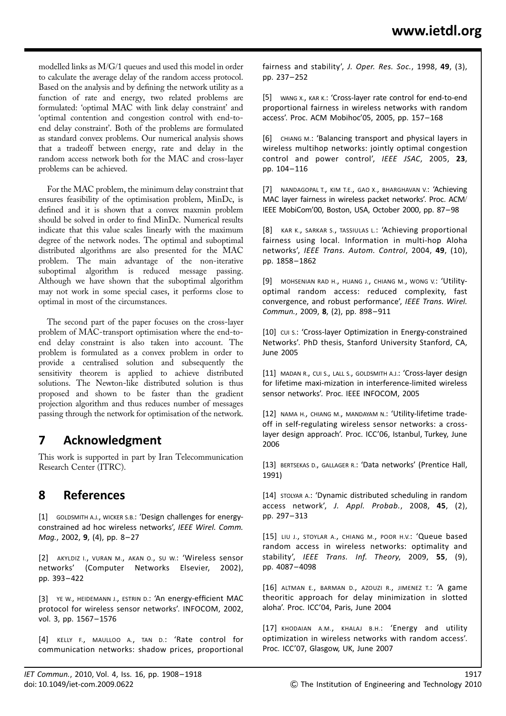modelled links as M/G/1 queues and used this model in order to calculate the average delay of the random access protocol. Based on the analysis and by defining the network utility as a function of rate and energy, two related problems are formulated: 'optimal MAC with link delay constraint' and 'optimal contention and congestion control with end-toend delay constraint'. Both of the problems are formulated as standard convex problems. Our numerical analysis shows that a tradeoff between energy, rate and delay in the random access network both for the MAC and cross-layer problems can be achieved.

For the MAC problem, the minimum delay constraint that ensures feasibility of the optimisation problem, MinDc, is defined and it is shown that a convex maxmin problem should be solved in order to find MinDc. Numerical results indicate that this value scales linearly with the maximum degree of the network nodes. The optimal and suboptimal distributed algorithms are also presented for the MAC problem. The main advantage of the non-iterative suboptimal algorithm is reduced message passing. Although we have shown that the suboptimal algorithm may not work in some special cases, it performs close to optimal in most of the circumstances.

The second part of the paper focuses on the cross-layer problem of MAC-transport optimisation where the end-toend delay constraint is also taken into account. The problem is formulated as a convex problem in order to provide a centralised solution and subsequently the sensitivity theorem is applied to achieve distributed solutions. The Newton-like distributed solution is thus proposed and shown to be faster than the gradient projection algorithm and thus reduces number of messages passing through the network for optimisation of the network.

# 7 Acknowledgment

This work is supported in part by Iran Telecommunication Research Center (ITRC).

# 8 References

[1] GOLDSMITH A.J., WICKER S.B.: 'Design challenges for energyconstrained ad hoc wireless networks', IEEE Wirel. Comm. Mag., 2002, 9, (4), pp. 8-27

[2] AKYLDIZ I., VURAN M., AKAN O., SU W.: 'Wireless sensor networks' (Computer Networks Elsevier, 2002), pp. 393– 422

[3] YE W., HEIDEMANN J., ESTRIN D.: 'An energy-efficient MAC protocol for wireless sensor networks'. INFOCOM, 2002, vol. 3, pp. 1567– 1576

[4] KELLY F., MAULLOO A., TAN D.: 'Rate control for communication networks: shadow prices, proportional fairness and stability', J. Oper. Res. Soc., 1998, 49, (3), pp. 237– 252

[5] WANG X., KAR K.: 'Cross-layer rate control for end-to-end proportional fairness in wireless networks with random access'. Proc. ACM Mobihoc'05, 2005, pp. 157– 168

[6] CHIANG M.: 'Balancing transport and physical layers in wireless multihop networks: jointly optimal congestion control and power control', IEEE JSAC, 2005, 23, pp. 104– 116

[7] NANDAGOPAL T., KIM T.E., GAO X., BHARGHAVAN V.: 'Achieving MAC layer fairness in wireless packet networks'. Proc. ACM/ IEEE MobiCom'00, Boston, USA, October 2000, pp. 87–98

[8] KAR K., SARKAR S., TASSIULAS L.: 'Achieving proportional fairness using local. Information in multi-hop Aloha networks', IEEE Trans. Autom. Control, 2004, 49, (10). pp. 1858– 1862

[9] MOHSENIAN RAD H., HUANG J., CHIANG M., WONG V.: 'Utilityoptimal random access: reduced complexity, fast convergence, and robust performance', IEEE Trans. Wirel. Commun., 2009, 8, (2), pp. 898-911

[10] cui s.: 'Cross-layer Optimization in Energy-constrained Networks'. PhD thesis, Stanford University Stanford, CA, June 2005

[11] MADAN R., CUI S., LALL S., GOLDSMITH A.J.: 'Cross-layer design for lifetime maxi-mization in interference-limited wireless sensor networks'. Proc. IEEE INFOCOM, 2005

[12] NAMA H., CHIANG M., MANDAYAM N.: 'Utility-lifetime tradeoff in self-regulating wireless sensor networks: a crosslayer design approach'. Proc. ICC'06, Istanbul, Turkey, June 2006

[13] BERTSEKAS D., GALLAGER R.: 'Data networks' (Prentice Hall, 1991)

[14] STOLYAR A.: 'Dynamic distributed scheduling in random access network', J. Appl. Probab., 2008, 45, (2), pp. 297– 313

[15] LIU J., STOYLAR A., CHIANG M., POOR H.V.: 'Queue based random access in wireless networks: optimality and stability', IEEE Trans. Inf. Theory, 2009, 55, (9), pp. 4087– 4098

[16] ALTMAN E., BARMAN D., AZOUZI R., JIMENEZ T.: 'A game theoritic approach for delay minimization in slotted aloha'. Proc. ICC'04, Paris, June 2004

[17] KHODAIAN A.M., KHALAJ B.H.: 'Energy and utility optimization in wireless networks with random access'. Proc. ICC'07, Glasgow, UK, June 2007